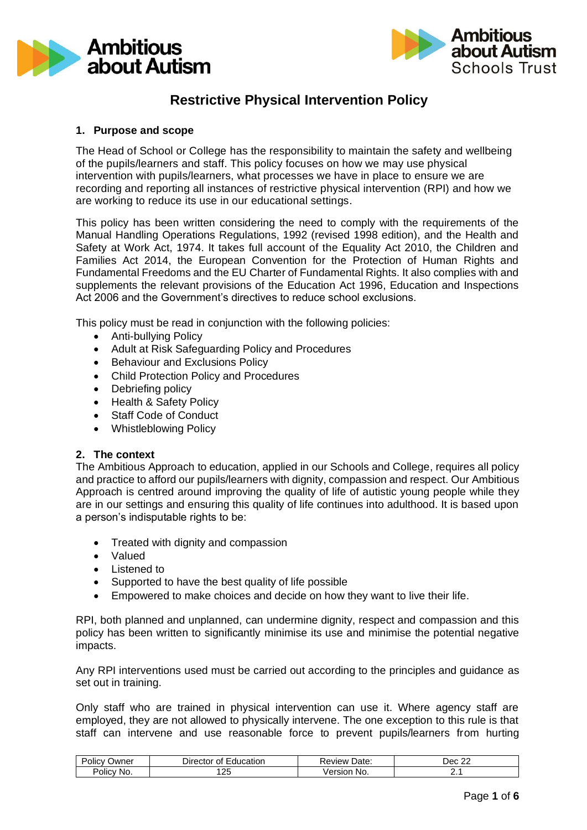



# **Restrictive Physical Intervention Policy**

## **1. Purpose and scope**

The Head of School or College has the responsibility to maintain the safety and wellbeing of the pupils/learners and staff. This policy focuses on how we may use physical intervention with pupils/learners, what processes we have in place to ensure we are recording and reporting all instances of restrictive physical intervention (RPI) and how we are working to reduce its use in our educational settings.

This policy has been written considering the need to comply with the requirements of the Manual Handling Operations Regulations, 1992 (revised 1998 edition), and the Health and Safety at Work Act, 1974. It takes full account of the Equality Act 2010, the Children and Families Act 2014, the European Convention for the Protection of Human Rights and Fundamental Freedoms and the EU Charter of Fundamental Rights. It also complies with and supplements the relevant provisions of the Education Act 1996, Education and Inspections Act 2006 and the Government's directives to reduce school exclusions.

This policy must be read in conjunction with the following policies:

- Anti-bullying Policy
- Adult at Risk Safeguarding Policy and Procedures
- Behaviour and Exclusions Policy
- Child Protection Policy and Procedures
- Debriefing policy
- Health & Safety Policy
- Staff Code of Conduct
- Whistleblowing Policy

#### **2. The context**

The Ambitious Approach to education, applied in our Schools and College, requires all policy and practice to afford our pupils/learners with dignity, compassion and respect. Our Ambitious Approach is centred around improving the quality of life of autistic young people while they are in our settings and ensuring this quality of life continues into adulthood. It is based upon a person's indisputable rights to be:

- Treated with dignity and compassion
- Valued
- Listened to
- Supported to have the best quality of life possible
- Empowered to make choices and decide on how they want to live their life.

RPI, both planned and unplanned, can undermine dignity, respect and compassion and this policy has been written to significantly minimise its use and minimise the potential negative impacts.

Any RPI interventions used must be carried out according to the principles and guidance as set out in training.

Only staff who are trained in physical intervention can use it. Where agency staff are employed, they are not allowed to physically intervene. The one exception to this rule is that staff can intervene and use reasonable force to prevent pupils/learners from hurting

| $\overline{\phantom{0}}$<br>.<br>Policy<br>Jwner | Education<br>Director<br>Of. | Date:<br>≺eview | $\sim$<br>⊃ec ' |
|--------------------------------------------------|------------------------------|-----------------|-----------------|
| Volicy No.                                       | റല<br>ں ے ،                  | No.<br>Version  | <u>.</u>        |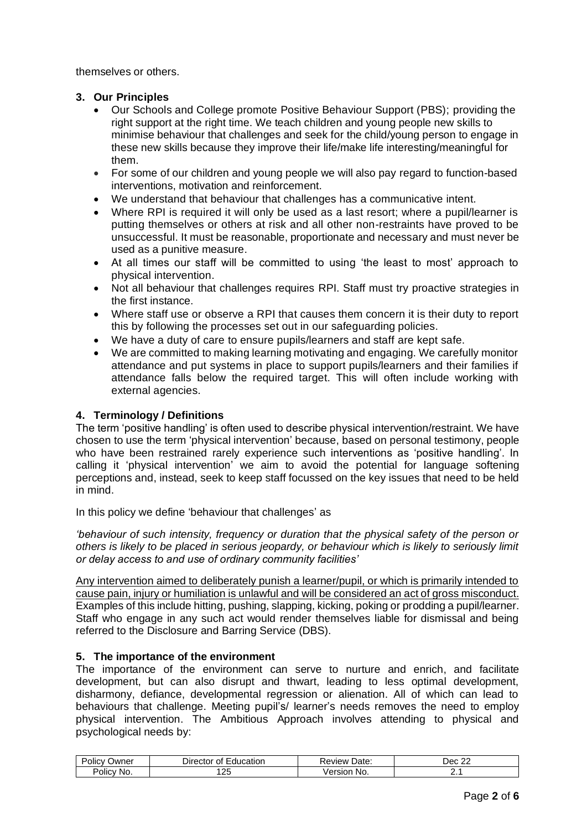themselves or others.

## **3. Our Principles**

- Our Schools and College promote Positive Behaviour Support (PBS); providing the right support at the right time. We teach children and young people new skills to minimise behaviour that challenges and seek for the child/young person to engage in these new skills because they improve their life/make life interesting/meaningful for them.
- For some of our children and young people we will also pay regard to function-based interventions, motivation and reinforcement.
- We understand that behaviour that challenges has a communicative intent.
- Where RPI is required it will only be used as a last resort; where a pupil/learner is putting themselves or others at risk and all other non-restraints have proved to be unsuccessful. It must be reasonable, proportionate and necessary and must never be used as a punitive measure.
- At all times our staff will be committed to using 'the least to most' approach to physical intervention.
- Not all behaviour that challenges requires RPI. Staff must try proactive strategies in the first instance.
- Where staff use or observe a RPI that causes them concern it is their duty to report this by following the processes set out in our safeguarding policies.
- We have a duty of care to ensure pupils/learners and staff are kept safe.
- We are committed to making learning motivating and engaging. We carefully monitor attendance and put systems in place to support pupils/learners and their families if attendance falls below the required target. This will often include working with external agencies.

## **4. Terminology / Definitions**

The term 'positive handling' is often used to describe physical intervention/restraint. We have chosen to use the term 'physical intervention' because, based on personal testimony, people who have been restrained rarely experience such interventions as 'positive handling'. In calling it 'physical intervention' we aim to avoid the potential for language softening perceptions and, instead, seek to keep staff focussed on the key issues that need to be held in mind.

In this policy we define 'behaviour that challenges' as

*'behaviour of such intensity, frequency or duration that the physical safety of the person or others is likely to be placed in serious jeopardy, or behaviour which is likely to seriously limit or delay access to and use of ordinary community facilities'*

Any intervention aimed to deliberately punish a learner/pupil, or which is primarily intended to cause pain, injury or humiliation is unlawful and will be considered an act of gross misconduct. Examples of this include hitting, pushing, slapping, kicking, poking or prodding a pupil/learner. Staff who engage in any such act would render themselves liable for dismissal and being referred to the Disclosure and Barring Service (DBS).

### **5. The importance of the environment**

The importance of the environment can serve to nurture and enrich, and facilitate development, but can also disrupt and thwart, leading to less optimal development, disharmony, defiance, developmental regression or alienation. All of which can lead to behaviours that challenge. Meeting pupil's/ learner's needs removes the need to employ physical intervention. The Ambitious Approach involves attending to physical and psychological needs by:

| -<br>. .<br>olic\<br>Jwner<br>v | Education<br>$D$ irector<br>0t | Date:<br>∴eview ∧    | $\sim$<br>. Jer<br>. |
|---------------------------------|--------------------------------|----------------------|----------------------|
| Policy<br>∵No.                  | ו רו<br>້                      | ersior<br>No<br>ver. |                      |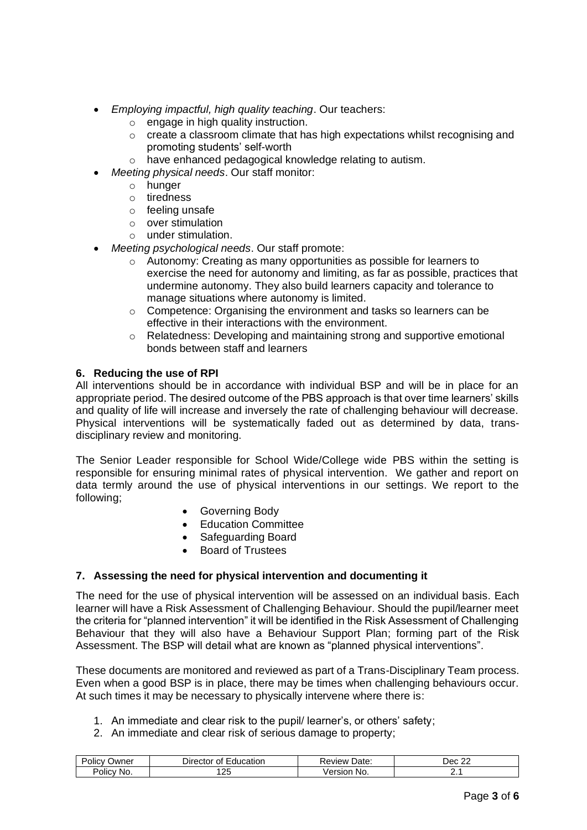- *Employing impactful, high quality teaching*. Our teachers:
	- o engage in high quality instruction.
	- o create a classroom climate that has high expectations whilst recognising and promoting students' self-worth
	- o have enhanced pedagogical knowledge relating to autism.
- *Meeting physical needs*. Our staff monitor:
	- o hunger
	- o tiredness
	- o feeling unsafe
	- o over stimulation
	- o under stimulation.
- *Meeting psychological needs*. Our staff promote:
	- o Autonomy: Creating as many opportunities as possible for learners to exercise the need for autonomy and limiting, as far as possible, practices that undermine autonomy. They also build learners capacity and tolerance to manage situations where autonomy is limited.
	- o Competence: Organising the environment and tasks so learners can be effective in their interactions with the environment.
	- o Relatedness: Developing and maintaining strong and supportive emotional bonds between staff and learners

### **6. Reducing the use of RPI**

All interventions should be in accordance with individual BSP and will be in place for an appropriate period. The desired outcome of the PBS approach is that over time learners' skills and quality of life will increase and inversely the rate of challenging behaviour will decrease. Physical interventions will be systematically faded out as determined by data, transdisciplinary review and monitoring.

The Senior Leader responsible for School Wide/College wide PBS within the setting is responsible for ensuring minimal rates of physical intervention. We gather and report on data termly around the use of physical interventions in our settings. We report to the following;

- Governing Body
- Education Committee
- Safeguarding Board
- Board of Trustees

### **7. Assessing the need for physical intervention and documenting it**

The need for the use of physical intervention will be assessed on an individual basis. Each learner will have a Risk Assessment of Challenging Behaviour. Should the pupil/learner meet the criteria for "planned intervention" it will be identified in the Risk Assessment of Challenging Behaviour that they will also have a Behaviour Support Plan; forming part of the Risk Assessment. The BSP will detail what are known as "planned physical interventions".

These documents are monitored and reviewed as part of a Trans-Disciplinary Team process. Even when a good BSP is in place, there may be times when challenging behaviours occur. At such times it may be necessary to physically intervene where there is:

- 1. An immediate and clear risk to the pupil/ learner's, or others' safety;
- 2. An immediate and clear risk of serious damage to property;

| .<br>Policy<br>Jwner | Director<br>Education<br>Οt | Date:<br>Review       | $\sim$<br>Dec<br>. |
|----------------------|-----------------------------|-----------------------|--------------------|
| NO.<br>Policv        | ו רו<br>້                   | /ersior<br>No.<br>ver | . .                |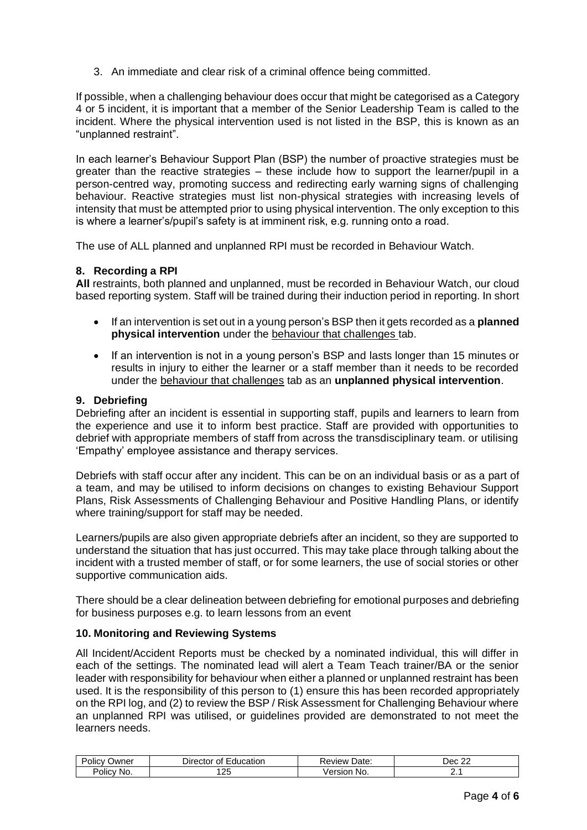3. An immediate and clear risk of a criminal offence being committed.

If possible, when a challenging behaviour does occur that might be categorised as a Category 4 or 5 incident, it is important that a member of the Senior Leadership Team is called to the incident. Where the physical intervention used is not listed in the BSP, this is known as an "unplanned restraint".

In each learner's Behaviour Support Plan (BSP) the number of proactive strategies must be greater than the reactive strategies – these include how to support the learner/pupil in a person-centred way, promoting success and redirecting early warning signs of challenging behaviour. Reactive strategies must list non-physical strategies with increasing levels of intensity that must be attempted prior to using physical intervention. The only exception to this is where a learner's/pupil's safety is at imminent risk, e.g. running onto a road.

The use of ALL planned and unplanned RPI must be recorded in Behaviour Watch.

### **8. Recording a RPI**

**All** restraints, both planned and unplanned, must be recorded in Behaviour Watch, our cloud based reporting system. Staff will be trained during their induction period in reporting. In short

- If an intervention is set out in a young person's BSP then it gets recorded as a **planned physical intervention** under the behaviour that challenges tab.
- If an intervention is not in a young person's BSP and lasts longer than 15 minutes or results in injury to either the learner or a staff member than it needs to be recorded under the behaviour that challenges tab as an **unplanned physical intervention**.

#### **9. Debriefing**

Debriefing after an incident is essential in supporting staff, pupils and learners to learn from the experience and use it to inform best practice. Staff are provided with opportunities to debrief with appropriate members of staff from across the transdisciplinary team. or utilising 'Empathy' employee assistance and therapy services.

Debriefs with staff occur after any incident. This can be on an individual basis or as a part of a team, and may be utilised to inform decisions on changes to existing Behaviour Support Plans, Risk Assessments of Challenging Behaviour and Positive Handling Plans, or identify where training/support for staff may be needed.

Learners/pupils are also given appropriate debriefs after an incident, so they are supported to understand the situation that has just occurred. This may take place through talking about the incident with a trusted member of staff, or for some learners, the use of social stories or other supportive communication aids.

There should be a clear delineation between debriefing for emotional purposes and debriefing for business purposes e.g. to learn lessons from an event

### **10. Monitoring and Reviewing Systems**

All Incident/Accident Reports must be checked by a nominated individual, this will differ in each of the settings. The nominated lead will alert a Team Teach trainer/BA or the senior leader with responsibility for behaviour when either a planned or unplanned restraint has been used. It is the responsibility of this person to (1) ensure this has been recorded appropriately on the RPI log, and (2) to review the BSP / Risk Assessment for Challenging Behaviour where an unplanned RPI was utilised, or guidelines provided are demonstrated to not meet the learners needs.

| .<br>∽<br>Jwner<br>JIICV | Director<br>Education<br>Οt | Date:<br>eview      | $\sim$<br>∩∩د .<br>. |
|--------------------------|-----------------------------|---------------------|----------------------|
| olicy<br>NO.             | .05<br>້                    | No<br>ersior<br>ver |                      |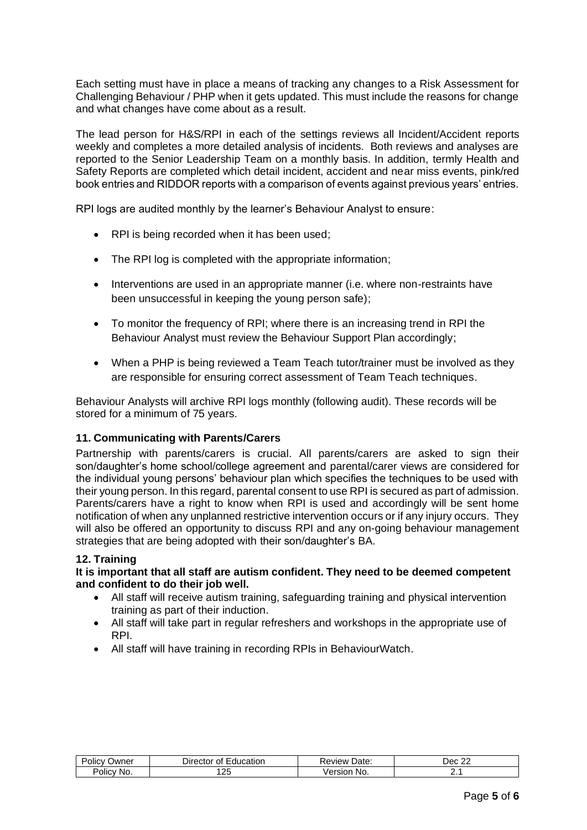Each setting must have in place a means of tracking any changes to a Risk Assessment for Challenging Behaviour / PHP when it gets updated. This must include the reasons for change and what changes have come about as a result.

The lead person for H&S/RPI in each of the settings reviews all Incident/Accident reports weekly and completes a more detailed analysis of incidents. Both reviews and analyses are reported to the Senior Leadership Team on a monthly basis. In addition, termly Health and Safety Reports are completed which detail incident, accident and near miss events, pink/red book entries and RIDDOR reports with a comparison of events against previous years' entries.

RPI logs are audited monthly by the learner's Behaviour Analyst to ensure:

- RPI is being recorded when it has been used;
- The RPI log is completed with the appropriate information;
- Interventions are used in an appropriate manner (i.e. where non-restraints have been unsuccessful in keeping the young person safe);
- To monitor the frequency of RPI; where there is an increasing trend in RPI the Behaviour Analyst must review the Behaviour Support Plan accordingly;
- When a PHP is being reviewed a Team Teach tutor/trainer must be involved as they are responsible for ensuring correct assessment of Team Teach techniques.

Behaviour Analysts will archive RPI logs monthly (following audit). These records will be stored for a minimum of 75 years.

### **11. Communicating with Parents/Carers**

Partnership with parents/carers is crucial. All parents/carers are asked to sign their son/daughter's home school/college agreement and parental/carer views are considered for the individual young persons' behaviour plan which specifies the techniques to be used with their young person. In this regard, parental consent to use RPI is secured as part of admission. Parents/carers have a right to know when RPI is used and accordingly will be sent home notification of when any unplanned restrictive intervention occurs or if any injury occurs. They will also be offered an opportunity to discuss RPI and any on-going behaviour management strategies that are being adopted with their son/daughter's BA.

#### **12. Training**

**It is important that all staff are autism confident. They need to be deemed competent and confident to do their job well.** 

- All staff will receive autism training, safeguarding training and physical intervention training as part of their induction.
- All staff will take part in regular refreshers and workshops in the appropriate use of RPI.
- All staff will have training in recording RPIs in BehaviourWatch.

| .<br>$\sim$<br>Jwner<br>'olicv | Education<br><i>D</i> irector<br>0t. | Date:<br>Review & | $\sim$<br>Dec<br>-- |
|--------------------------------|--------------------------------------|-------------------|---------------------|
| .<br>'olicv<br>No.             | $\sim$<br>تے،                        | No.<br>ме.        | <u>.</u>            |